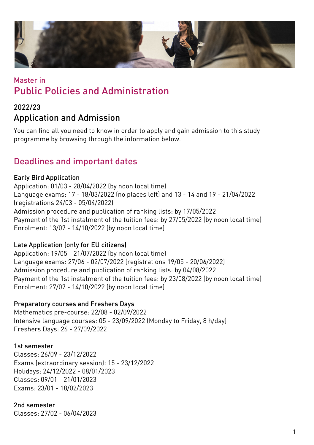

# Master in Public Policies and Administration

## 2022/23 Application and Admission

You can find all you need to know in order to apply and gain admission to this study programme by browsing through the information below.

## Deadlines and important dates

#### Early Bird Application

Application: 01/03 - 28/04/2022 (by noon local time) Language exams: 17 - 18/03/2022 (no places left) and 13 - 14 and 19 - 21/04/2022 (registrations 24/03 - 05/04/2022) Admission procedure and publication of ranking lists: by 17/05/2022 Payment of the 1st instalment of the tuition fees: by 27/05/2022 (by noon local time) Enrolment: 13/07 - 14/10/2022 (by noon local time)

#### Late Application (only for EU citizens)

Application: 19/05 - 21/07/2022 (by noon local time) Language exams: 27/06 - 02/07/2022 (registrations 19/05 - 20/06/2022) Admission procedure and publication of ranking lists: by 04/08/2022 Payment of the 1st instalment of the tuition fees: by 23/08/2022 (by noon local time) Enrolment: 27/07 - 14/10/2022 (by noon local time)

#### Preparatory courses and Freshers Days

Mathematics pre-course: 22/08 - 02/09/2022 Intensive language courses: 05 - 23/09/2022 (Monday to Friday, 8 h/day) Freshers Days: 26 - 27/09/2022

#### 1st semester

Classes: 26/09 - 23/12/2022 Exams (extraordinary session): 15 - 23/12/2022 Holidays: 24/12/2022 - 08/01/2023 Classes: 09/01 - 21/01/2023 Exams: 23/01 - 18/02/2023

#### 2nd semester

Classes: 27/02 - 06/04/2023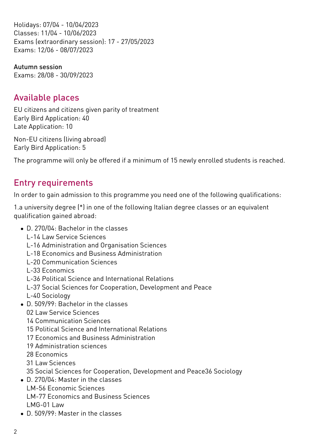Holidays: 07/04 - 10/04/2023 Classes: 11/04 - 10/06/2023 Exams (extraordinary session): 17 - 27/05/2023 Exams: 12/06 - 08/07/2023

Autumn session Exams: 28/08 - 30/09/2023

## Available places

EU citizens and citizens given parity of treatment Early Bird Application: 40 Late Application: 10

Non-EU citizens (living abroad) Early Bird Application: 5

The programme will only be offered if a minimum of 15 newly enrolled students is reached.

# Entry requirements

In order to gain admission to this programme you need one of the following qualifications:

1.a university degree (\*) in one of the following Italian degree classes or an equivalent qualification gained abroad:

- D. 270/04: Bachelor in the classes
	- L-14 Law Service Sciences
	- L-16 Administration and Organisation Sciences
	- L-18 Economics and Business Administration
	- L-20 Communication Sciences
	- L-33 Economics
	- L-36 Political Science and International Relations
	- L-37 Social Sciences for Cooperation, Development and Peace
	- L-40 Sociology
- D. 509/99: Bachelor in the classes
	- 02 Law Service Sciences
	- 14 Communication Sciences
	- 15 Political Science and International Relations
	- 17 Economics and Business Administration
	- 19 Administration sciences
	- 28 Economics
	- 31 Law Sciences
	- 35 Social Sciences for Cooperation, Development and Peace36 Sociology
- . D. 270/04: Master in the classes
	- LM-56 Economic Sciences
	- LM-77 Economics and Business Sciences
	- LMG-01 Law
- D. 509/99: Master in the classes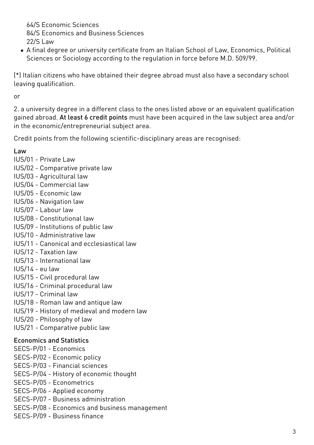64/S Economic Sciences 84/S Economics and Business Sciences 22/S Law

A final degree or university certificate from an Italian School of Law, Economics, Political Sciences or Sociology according to the regulation in force before M.D. 509/99.

(\*) Italian citizens who have obtained their degree abroad must also have a secondary school leaving qualification.

or

2. a university degree in a different class to the ones listed above or an equivalent qualification gained abroad. At least 6 credit points must have been acquired in the law subject area and/or in the economic/entrepreneurial subject area.

Credit points from the following scientific-disciplinary areas are recognised:

#### Law

- IUS/01 Private Law
- IUS/02 Comparative private law
- IUS/03 Agricultural law
- IUS/04 Commercial law
- IUS/05 Economic law
- IUS/06 Navigation law
- IUS/07 Labour law
- IUS/08 Constitutional law
- IUS/09 Institutions of public law
- IUS/10 Administrative law
- IUS/11 Canonical and ecclesiastical law
- IUS/12 Taxation law
- IUS/13 International law
- IUS/14 eu law
- IUS/15 Civil procedural law
- IUS/16 Criminal procedural law
- IUS/17 Criminal law
- IUS/18 Roman law and antique law
- IUS/19 History of medieval and modern law
- IUS/20 Philosophy of law
- IUS/21 Comparative public law

#### Economics and Statistics

- SECS-P/01 Economics
- SECS-P/02 Economic policy
- SECS-P/03 Financial sciences
- SECS-P/04 History of economic thought
- SECS-P/05 Econometrics
- SECS-P/06 Applied economy
- SECS-P/07 Business administration
- SECS-P/08 Economics and business management
- SECS-P/09 Business finance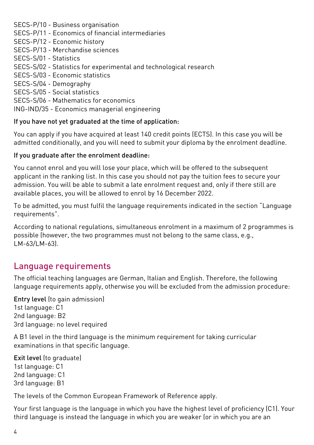SECS-P/10 - Business organisation

SECS-P/11 - Economics of financial intermediaries

SECS-P/12 - Economic history

SECS-P/13 - Merchandise sciences

SECS-S/01 - Statistics

SECS-S/02 - Statistics for experimental and technological research

SECS-S/03 - Economic statistics

SECS-S/04 - Demography

SECS-S/05 - Social statistics

SECS-S/06 - Mathematics for economics

ING-IND/35 - Economics managerial engineering

#### If you have not yet graduated at the time of application:

You can apply if you have acquired at least 140 credit points (ECTS). In this case you will be admitted conditionally, and you will need to submit your diploma by the enrolment deadline.

#### If you graduate after the enrolment deadline:

You cannot enrol and you will lose your place, which will be offered to the subsequent applicant in the ranking list. In this case you should not pay the tuition fees to secure your admission. You will be able to submit a late enrolment request and, only if there still are available places, you will be allowed to enrol by 16 December 2022.

To be admitted, you must fulfil the language requirements indicated in the section "Language requirements".

According to national regulations, simultaneous enrolment in a maximum of 2 programmes is possible (however, the two programmes must not belong to the same class, e.g.,  $LM - 63/LM - 63$ 

## Language requirements

The official teaching languages are German, Italian and English. Therefore, the following language requirements apply, otherwise you will be excluded from the admission procedure:

Entry level (to gain admission) 1st language: C1 2nd language: B2 3rd language: no level required

A B1 level in the third language is the minimum requirement for taking curricular examinations in that specific language.

Exit level (to graduate) 1st language: C1 2nd language: C1 3rd language: B1

The levels of the Common European Framework of Reference apply.

Your first language is the language in which you have the highest level of proficiency (C1). Your third language is instead the language in which you are weaker (or in which you are an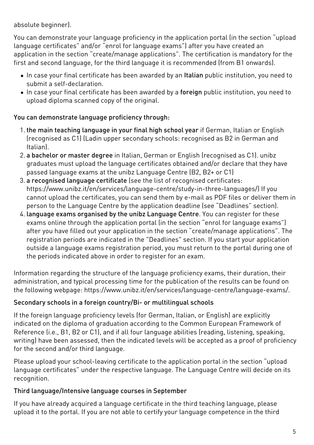absolute beginner).

You can demonstrate your language proficiency in the application portal (in the section "upload language certificates" and/or "enrol for language exams") after you have created an application in the section "create/manage applications". The certification is mandatory for the first and second language, for the third language it is recommended (from B1 onwards).

- In case your final certificate has been awarded by an Italian public institution, you need to submit a self-declaration.
- In case your final certificate has been awarded by a foreign public institution, you need to upload diploma scanned copy of the original.

#### You can demonstrate language proficiency through:

- 1. the main teaching language in your final high school year if German, Italian or English (recognised as C1) (Ladin upper secondary schools: recognised as B2 in German and Italian).
- 2. a bachelor or master degree in Italian, German or English (recognised as C1). unibz graduates must upload the language certificates obtained and/or declare that they have passed language exams at the unibz Language Centre (B2, B2+ or C1)
- 3. a recognised language certificate (see the list of recognised certificates: <https://www.unibz.it/en/services/language-centre/study-in-three-languages/>) If you cannot upload the certificates, you can send them by e-mail as PDF files or deliver them in person to the Language Centre by the application deadline (see "Deadlines" section).
- 4. language exams organised by the unibz Language Centre. You can register for these exams online through the application portal (in the section "enrol for language exams") after you have filled out your application in the section "create/manage applications". The registration periods are indicated in the "Deadlines" section. If you start your application outside a language exams registration period, you must return to the portal during one of the periods indicated above in order to register for an exam.

Information regarding the structure of the language proficiency exams, their duration, their administration, and typical processing time for the publication of the results can be found on the following webpage: <https://www.unibz.it/en/services/language-centre/language-exams/>.

#### Secondary schools in a foreign country/Bi- or multilingual schools

If the foreign language proficiency levels (for German, Italian, or English) are explicitly indicated on the diploma of graduation according to the Common European Framework of Reference (i.e., B1, B2 or C1), and if all four language abilities (reading, listening, speaking, writing) have been assessed, then the indicated levels will be accepted as a proof of proficiency for the second and/or third language.

Please upload your school-leaving certificate to the application portal in the section "upload language certificates" under the respective language. The Language Centre will decide on its recognition.

#### Third language/Intensive language courses in September

If you have already acquired a language certificate in the third teaching language, please upload it to the portal. If you are not able to certify your language competence in the third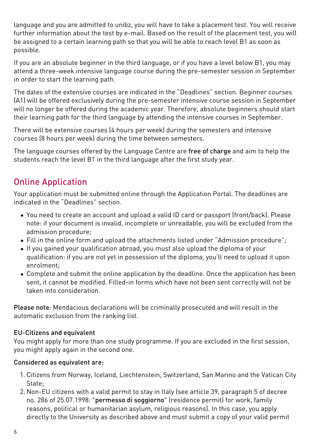language and you are admitted to unibz, you will have to take a placement test. You will receive further information about the test by e-mail. Based on the result of the placement test, you will be assigned to a certain learning path so that you will be able to reach level B1 as soon as possible.

If you are an absolute beginner in the third language, or if you have a level below B1, you may attend a three-week intensive language course during the pre-semester session in September in order to start the learning path.

The dates of the extensive courses are indicated in the "Deadlines" section. Beginner courses (A1) will be offered exclusively during the pre-semester intensive course session in September will no longer be offered during the academic year. Therefore, absolute beginners should start their learning path for the third language by attending the intensive courses in September.

There will be extensive courses (4 hours per week) during the semesters and intensive courses (8 hours per week) during the time between semesters.

The language courses offered by the Language Centre are free of charge and aim to help the students reach the level B1 in the third language after the first study year.

## Online Application

Your application must be submitted online through the [Application Portal](https://aws.unibz.it/exup). The deadlines are indicated in the "Deadlines" section.

- You need to create an account and upload a valid ID card or passport (front/back). Please note: if your document is invalid, incomplete or unreadable, you will be excluded from the admission procedure;
- Fill in the online form and upload the attachments listed under "Admission procedure";
- If you gained your qualification abroad, you must also upload the diploma of your qualification: if you are not yet in possession of the diploma, you'll need to upload it upon enrolment;
- Complete and submit the online application by the deadline. Once the application has been sent, it cannot be modified. Filled-in forms which have not been sent correctly will not be taken into consideration.

Please note: Mendacious declarations will be criminally prosecuted and will result in the automatic exclusion from the ranking list.

#### EU-Citizens and equivalent

You might apply for more than one study programme. If you are excluded in the first session, you might apply again in the second one.

#### Considered as equivalent are:

- 1. Citizens from Norway, Iceland, Liechtenstein, Switzerland, San Marino and the Vatican City State;
- 2. Non-EU citizens with a valid permit to stay in Italy (see article 39, paragraph 5 of decree no. 286 of 25.07.1998: "permesso di soggiorno" (residence permit) for work, family reasons, political or humanitarian asylum, religious reasons). In this case, you apply directly to the University as described above and must submit a copy of your valid permit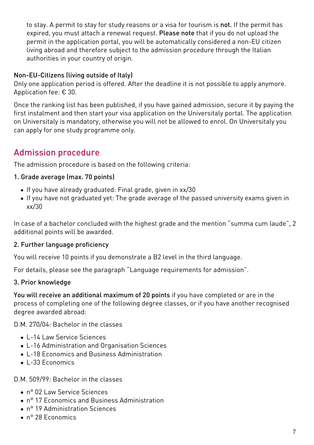to stay. A permit to stay for study reasons or a visa for tourism is not. If the permit has expired, you must attach a renewal request. Please note that if you do not upload the permit in the application portal, you will be automatically considered a non-EU citizen living abroad and therefore subject to the admission procedure through the Italian authorities in your country of origin.

#### Non-EU-Citizens (living outside of Italy)

Only one application period is offered. After the deadline it is not possible to apply anymore. Application fee: € 30.

Once the ranking list has been published, if you have gained admission, secure it by paying the first instalment and then start your visa application on the [Universitaly portal.](https://www.universitaly.it/index.php/) The application on Universitaly is mandatory, otherwise you will not be allowed to enrol. On Universitaly you can apply for one study programme only.

# Admission procedure

The admission procedure is based on the following criteria:

#### 1. Grade average (max. 70 points)

- If you have already graduated: Final grade, given in xx/30
- If you have not graduated yet: The grade average of the passed university exams given in xx/30

In case of a bachelor concluded with the highest grade and the mention "summa cum laude", 2 additional points will be awarded.

#### 2. Further language proficiency

You will receive 10 points if you demonstrate a B2 level in the third language.

For details, please see the paragraph "Language requirements for admission".

#### 3. Prior knowledge

You will receive an additional maximum of 20 points if you have completed or are in the process of completing one of the following degree classes, or if you have another recognised degree awarded abroad:

D.M. 270/04: Bachelor in the classes

- L-14 Law Service Sciences
- L-16 Administration and Organisation Sciences
- L-18 Economics and Business Administration
- $\cdot$  L-33 Economics

#### D.M. 509/99: Bachelor in the classes

- n° 02 Law Service Sciences
- n° 17 Economics and Business Administration
- n° 19 Administration Sciences
- n° 28 Economics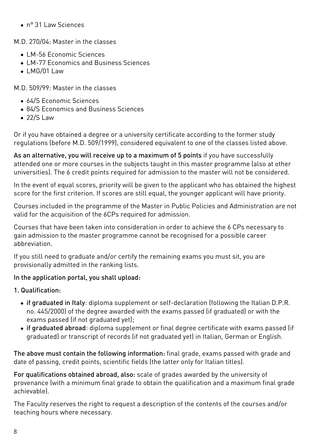n° 31 Law Sciences

M.D. 270/04: Master in the classes

- LM-56 Economic Sciences
- $\bullet$  LM-77 Economics and Business Sciences
- LMG/01 Law

M.D. 509/99: Master in the classes

- 64/S Economic Sciences
- 84/S Economics and Business Sciences
- $\bullet$  22/S Law

Or if you have obtained a degree or a university certificate according to the former study regulations (before M.D. 509/1999), considered equivalent to one of the classes listed above.

As an alternative, you will receive up to a maximum of 5 points if you have successfully attended one or more courses in the subjects taught in this master programme (also at other universities). The 6 credit points required for admission to the master will not be considered.

In the event of equal scores, priority will be given to the applicant who has obtained the highest score for the first criterion. If scores are still equal, the younger applicant will have priority.

Courses included in the programme of the Master in Public Policies and Administration are not valid for the acquisition of the 6CPs required for admission.

Courses that have been taken into consideration in order to achieve the 6 CPs necessary to gain admission to the master programme cannot be recognised for a possible career abbreviation.

If you still need to graduate and/or certify the remaining exams you must sit, you are provisionally admitted in the ranking lists.

#### In the application portal, you shall upload:

#### 1. Qualification:

- if graduated in Italy: diploma supplement or self-declaration (following the Italian D.P.R. no. 445/2000) of the degree awarded with the exams passed (if graduated) or with the exams passed (if not graduated yet);
- if graduated abroad: diploma supplement or final degree certificate with exams passed (if graduated) or transcript of records (if not graduated yet) in Italian, German or English.

The above must contain the following information: final grade, exams passed with grade and date of passing, credit points, scientific fields (the latter only for Italian titles).

For qualifications obtained abroad, also: scale of grades awarded by the university of provenance (with a minimum final grade to obtain the qualification and a maximum final grade achievable).

The Faculty reserves the right to request a description of the contents of the courses and/or teaching hours where necessary.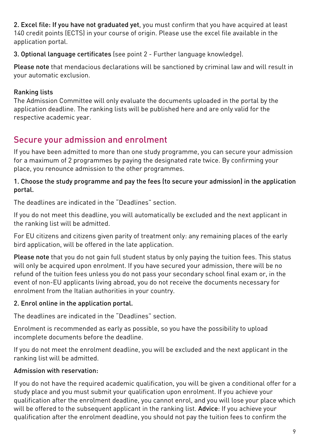2. Excel file: If you have not graduated vet, you must confirm that you have acquired at least 140 credit points (ECTS) in your course of origin. Please use the excel file available in the application portal.

3. Optional language certificates (see point 2 - Further language knowledge).

Please note that mendacious declarations will be sanctioned by criminal law and will result in your automatic exclusion.

### Ranking lists

The Admission Committee will only evaluate the documents uploaded in the portal by the application deadline. The ranking lists will be published [here](https://www.unibz.it/en/applicants/ranking-lists/?stage=Stage) and are only valid for the respective academic year.

# Secure your admission and enrolment

If you have been admitted to more than one study programme, you can secure your admission for a maximum of 2 programmes by paying the designated rate twice. By confirming your place, you renounce admission to the other programmes.

#### 1. Choose the study programme and pay the fees (to secure your admission) in the application portal.

The deadlines are indicated in the "Deadlines" section.

If you do not meet this deadline, you will automatically be excluded and the next applicant in the ranking list will be admitted.

For EU citizens and citizens given parity of treatment only: any remaining places of the early bird application, will be offered in the late application.

Please note that you do not gain full student status by only paying the tuition fees. This status will only be acquired upon enrolment. If you have secured your admission, there will be no refund of the tuition fees unless you do not pass your secondary school final exam or, in the event of non-EU applicants living abroad, you do not receive the documents necessary for enrolment from the Italian authorities in your country.

### 2. Enrol online in the application portal.

The deadlines are indicated in the "Deadlines" section.

Enrolment is recommended as early as possible, so you have the possibility to upload incomplete documents before the deadline.

If you do not meet the enrolment deadline, you will be excluded and the next applicant in the ranking list will be admitted.

### Admission with reservation:

If you do not have the required academic qualification, you will be given a conditional offer for a study place and you must submit your qualification upon enrolment. If you achieve your qualification after the enrolment deadline, you cannot enrol, and you will lose your place which will be offered to the subsequent applicant in the ranking list. Advice: If you achieve your qualification after the enrolment deadline, you should not pay the tuition fees to confirm the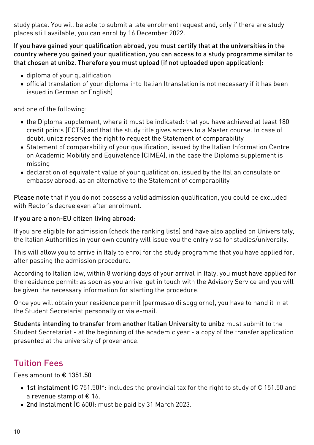study place. You will be able to submit a late enrolment request and, only if there are study places still available, you can enrol by 16 December 2022.

If you have gained your qualification abroad, you must certify that at the universities in the country where you gained your qualification, you can access to a study programme similar to that chosen at unibz. Therefore you must upload (if not uploaded upon application):

- diploma of your qualification
- official translation of your diploma into Italian (translation is not necessary if it has been issued in German or English)

and one of the following:

- the Diploma supplement, where it must be indicated: that you have achieved at least 180 credit points (ECTS) and that the study title gives access to a Master course. In case of doubt, unibz reserves the right to request the Statement of comparability
- [Statement of comparability](https://www.cimea.it/EN/pagina-attestati-di-comparabilita-e-verifica-dei-titoli) of your qualification, issued by the Italian Information Centre on Academic Mobility and Equivalence (CIMEA), in the case the Diploma supplement is missing
- declaration of equivalent value of your qualification, issued by the Italian consulate or embassy abroad, as an alternative to the Statement of comparability

Please note that if you do not possess a valid admission qualification, you could be excluded with Rector's decree even after enrolment.

#### If you are a non-EU citizen living abroad:

If you are eligible for admission (check the ranking lists) and have also applied on [Universitaly](https://www.universitaly.it/index.php/), the Italian Authorities in your own country will issue you the entry visa for studies/university.

This will allow you to arrive in Italy to enrol for the study programme that you have applied for, after passing the admission procedure.

According to Italian law, within 8 working days of your arrival in Italy, you must have applied for the residence permit: as soon as you arrive, get in touch with the Advisory Service and you will be given the necessary information for starting the procedure.

Once you will obtain your residence permit (permesso di soggiorno), you have to hand it in at the Student Secretariat personally or via e-mail.

Students intending to transfer from another Italian University to unibz must submit to the Student Secretariat - at the beginning of the academic year - a copy of the transfer application presented at the university of provenance.

# Tuition Fees

Fees amount to € 1351.50

- 1st instalment (€ 751.50)\*: includes the provincial tax for the right to study of € 151.50 and a revenue stamp of € 16.
- 2nd instalment (€ 600): must be paid by 31 March 2023.